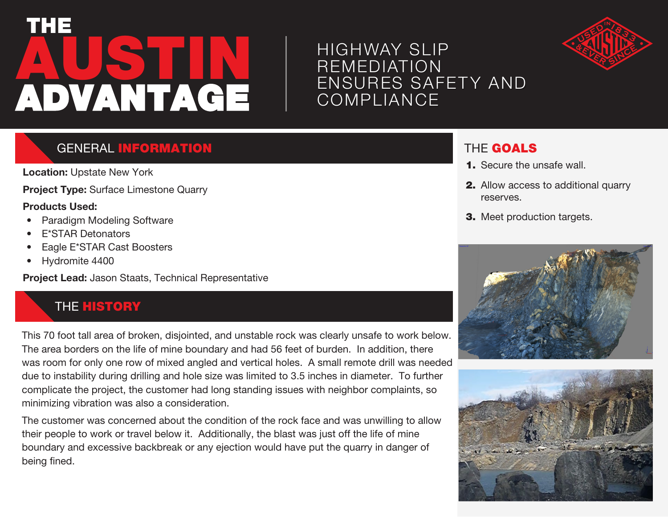# **AUSTIN** THE ADVANTAGE

# HIGHWAY SLIP REMEDIATION ENSURES SAFETY AND **COMPLIANCE**



# GENERAL INFORMATION

**Location:** Upstate New York

**Project Type:** Surface Limestone Quarry

#### **Products Used:**

- Paradigm Modeling Software
- E\*STAR Detonators
- Eagle E\*STAR Cast Boosters
- Hydromite 4400

**Project Lead:** Jason Staats, Technical Representative

# **THE HISTORY**

This 70 foot tall area of broken, disjointed, and unstable rock was clearly unsafe to work below. The area borders on the life of mine boundary and had 56 feet of burden. In addition, there was room for only one row of mixed angled and vertical holes. A small remote drill was needed due to instability during drilling and hole size was limited to 3.5 inches in diameter. To further complicate the project, the customer had long standing issues with neighbor complaints, so minimizing vibration was also a consideration.

The customer was concerned about the condition of the rock face and was unwilling to allow their people to work or travel below it. Additionally, the blast was just off the life of mine boundary and excessive backbreak or any ejection would have put the quarry in danger of being fined.

# THE GOALS

- **1.** Secure the unsafe wall.
- 2. Allow access to additional quarry reserves.
- 3. Meet production targets.